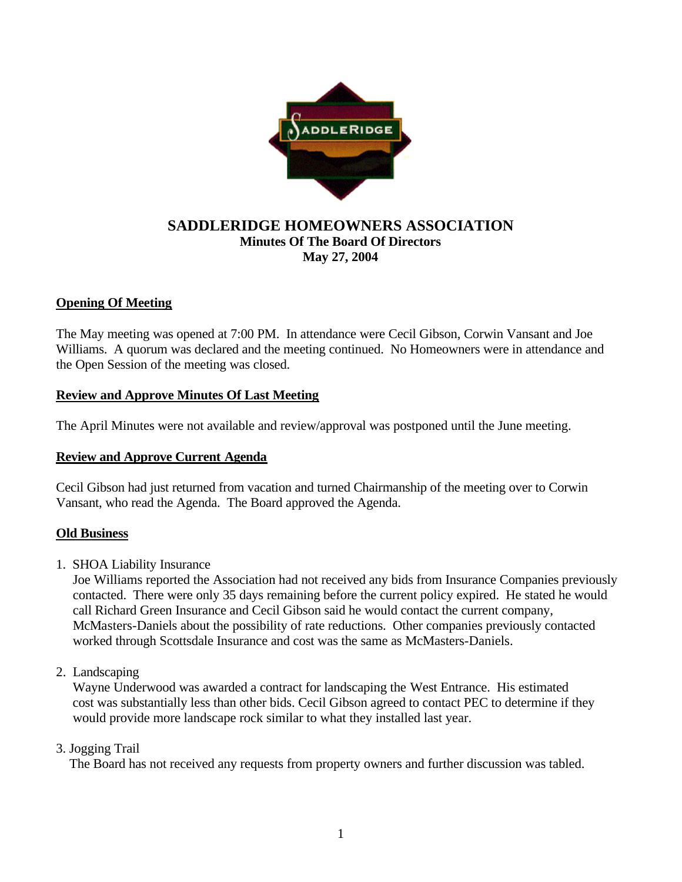

# **SADDLERIDGE HOMEOWNERS ASSOCIATION Minutes Of The Board Of Directors May 27, 2004**

## **Opening Of Meeting**

The May meeting was opened at 7:00 PM. In attendance were Cecil Gibson, Corwin Vansant and Joe Williams. A quorum was declared and the meeting continued. No Homeowners were in attendance and the Open Session of the meeting was closed.

## **Review and Approve Minutes Of Last Meeting**

The April Minutes were not available and review/approval was postponed until the June meeting.

## **Review and Approve Current Agenda**

Cecil Gibson had just returned from vacation and turned Chairmanship of the meeting over to Corwin Vansant, who read the Agenda. The Board approved the Agenda.

## **Old Business**

1. SHOA Liability Insurance

Joe Williams reported the Association had not received any bids from Insurance Companies previously contacted. There were only 35 days remaining before the current policy expired. He stated he would call Richard Green Insurance and Cecil Gibson said he would contact the current company, McMasters-Daniels about the possibility of rate reductions. Other companies previously contacted worked through Scottsdale Insurance and cost was the same as McMasters-Daniels.

2.Landscaping

 Wayne Underwood was awarded a contract for landscaping the West Entrance. His estimated cost was substantially less than other bids. Cecil Gibson agreed to contact PEC to determine if they would provide more landscape rock similar to what they installed last year.

## 3. Jogging Trail

The Board has not received any requests from property owners and further discussion was tabled.